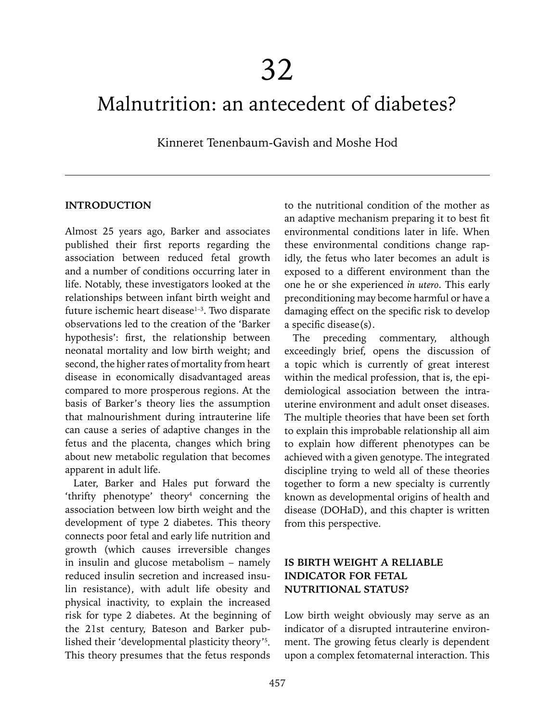# Malnutrition: an antecedent of diabetes?

Kinneret Tenenbaum-Gavish and Moshe Hod

#### **INTRODUCTION**

Almost 25 years ago, Barker and associates published their first reports regarding the association between reduced fetal growth and a number of conditions occurring later in life. Notably, these investigators looked at the relationships between infant birth weight and future ischemic heart disease<sup>1-3</sup>. Two disparate observations led to the creation of the 'Barker hypothesis': first, the relationship between neonatal mortality and low birth weight; and second, the higher rates of mortality from heart disease in economically disadvantaged areas compared to more prosperous regions. At the basis of Barker's theory lies the assumption that malnourishment during intrauterine life can cause a series of adaptive changes in the fetus and the placenta, changes which bring about new metabolic regulation that becomes apparent in adult life.

Later, Barker and Hales put forward the 'thrifty phenotype' theory4 concerning the association between low birth weight and the development of type 2 diabetes. This theory connects poor fetal and early life nutrition and growth (which causes irreversible changes in insulin and glucose metabolism – namely reduced insulin secretion and increased insulin resistance), with adult life obesity and physical inactivity, to explain the increased risk for type 2 diabetes. At the beginning of the 21st century, Bateson and Barker published their 'developmental plasticity theory'5 . This theory presumes that the fetus responds

to the nutritional condition of the mother as an adaptive mechanism preparing it to best fit environmental conditions later in life. When these environmental conditions change rapidly, the fetus who later becomes an adult is exposed to a different environment than the one he or she experienced *in utero*. This early preconditioning may become harmful or have a damaging effect on the specific risk to develop a specific disease(s).

The preceding commentary, although exceedingly brief, opens the discussion of a topic which is currently of great interest within the medical profession, that is, the epidemiological association between the intrauterine environment and adult onset diseases. The multiple theories that have been set forth to explain this improbable relationship all aim to explain how different phenotypes can be achieved with a given genotype. The integrated discipline trying to weld all of these theories together to form a new specialty is currently known as developmental origins of health and disease (DOHaD), and this chapter is written from this perspective.

## **IS BIRTH WEIGHT A RELIABLE INDICATOR FOR FETAL NUTRITIONAL STATUS?**

Low birth weight obviously may serve as an indicator of a disrupted intrauterine environment. The growing fetus clearly is dependent upon a complex fetomaternal interaction. This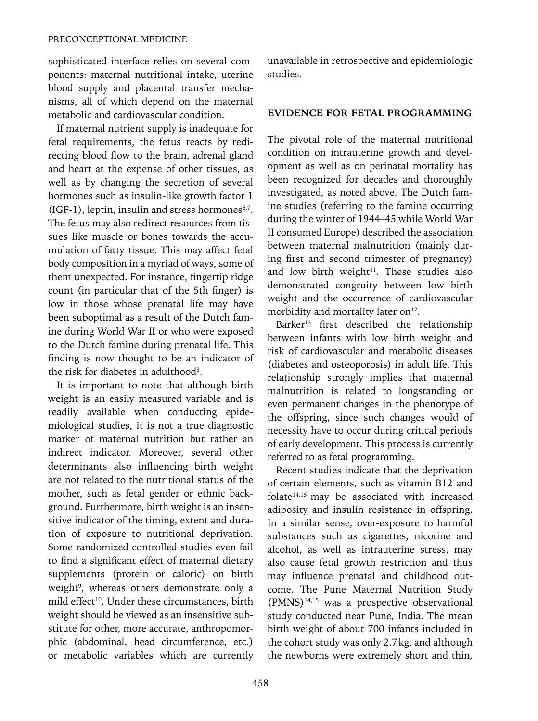sophisticated interface relies on several components: maternal nutritional intake, uterine blood supply and placental transfer mechanisms, all of which depend on the maternal metabolic and cardiovascular condition.

If maternal nutrient supply is inadequate for fetal requirements, the fetus reacts by redirecting blood flow to the brain, adrenal gland and heart at the expense of other tissues, as well as by changing the secretion of several hormones such as insulin-like growth factor 1  $(IGF-1)$ , leptin, insulin and stress hormones<sup>6,7</sup>. The fetus may also redirect resources from tissues like muscle or bones towards the accumulation of fatty tissue. This may affect fetal body composition in a myriad of ways, some of them unexpected. For instance, fingertip ridge count (in particular that of the 5th finger) is low in those whose prenatal life may have been suboptimal as a result of the Dutch famine during World War II or who were exposed to the Dutch famine during prenatal life. This finding is now thought to be an indicator of the risk for diabetes in adulthood<sup>8</sup>.

It is important to note that although birth weight is an easily measured variable and is readily available when conducting epidemiological studies, it is not a true diagnostic marker of maternal nutrition but rather an indirect indicator. Moreover, several other determinants also influencing birth weight are not related to the nutritional status of the mother, such as fetal gender or ethnic background. Furthermore, birth weight is an insensitive indicator of the timing, extent and duration of exposure to nutritional deprivation. Some randomized controlled studies even fail to find a significant effect of maternal dietary supplements (protein or caloric) on birth weight<sup>9</sup>, whereas others demonstrate only a mild effect<sup>10</sup>. Under these circumstances, birth weight should be viewed as an insensitive substitute for other, more accurate, anthropomorphic (abdominal, head circumference, etc.) or metabolic variables which are currently

unavailable in retrospective and epidemiologic studies.

### **EVIDENCE FOR FETAL PROGRAMMING**

The pivotal role of the maternal nutritional condition on intrauterine growth and development as well as on perinatal mortality has been recognized for decades and thoroughly investigated, as noted above. The Dutch famine studies (referring to the famine occurring during the winter of 1944–45 while World War II consumed Europe) described the association between maternal malnutrition (mainly during first and second trimester of pregnancy) and low birth weight $11$ . These studies also demonstrated congruity between low birth weight and the occurrence of cardiovascular morbidity and mortality later on $12$ .

Barker<sup>13</sup> first described the relationship between infants with low birth weight and risk of cardiovascular and metabolic diseases (diabetes and osteoporosis) in adult life. This relationship strongly implies that maternal malnutrition is related to longstanding or even permanent changes in the phenotype of the offspring, since such changes would of necessity have to occur during critical periods of early development. This process is currently referred to as fetal programming.

Recent studies indicate that the deprivation of certain elements, such as vitamin B12 and folate $14,15$  may be associated with increased adiposity and insulin resistance in offspring. In a similar sense, over-exposure to harmful substances such as cigarettes, nicotine and alcohol, as well as intrauterine stress, may also cause fetal growth restriction and thus may influence prenatal and childhood outcome. The Pune Maternal Nutrition Study  $(PMNS)^{14,15}$  was a prospective observational study conducted near Pune, India. The mean birth weight of about 700 infants included in the cohort study was only 2.7kg, and although the newborns were extremely short and thin,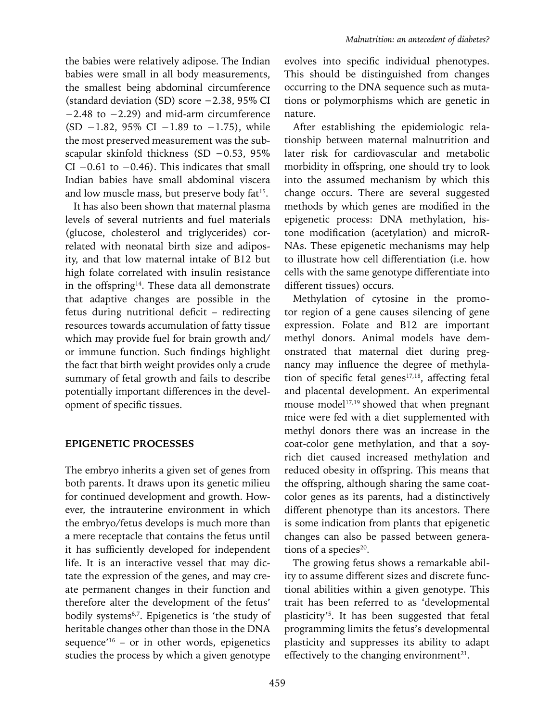the babies were relatively adipose. The Indian babies were small in all body measurements, the smallest being abdominal circumference (standard deviation (SD) score −2.38, 95% CI −2.48 to −2.29) and mid-arm circumference (SD −1.82, 95% CI −1.89 to −1.75), while the most preserved measurement was the subscapular skinfold thickness (SD −0.53, 95% CI  $-0.61$  to  $-0.46$ ). This indicates that small Indian babies have small abdominal viscera and low muscle mass, but preserve body fat<sup>15</sup>.

It has also been shown that maternal plasma levels of several nutrients and fuel materials (glucose, cholesterol and triglycerides) correlated with neonatal birth size and adiposity, and that low maternal intake of B12 but high folate correlated with insulin resistance in the offspring<sup>14</sup>. These data all demonstrate that adaptive changes are possible in the fetus during nutritional deficit – redirecting resources towards accumulation of fatty tissue which may provide fuel for brain growth and/ or immune function. Such findings highlight the fact that birth weight provides only a crude summary of fetal growth and fails to describe potentially important differences in the development of specific tissues.

### **EPIGENETIC PROCESSES**

The embryo inherits a given set of genes from both parents. It draws upon its genetic milieu for continued development and growth. However, the intrauterine environment in which the embryo/fetus develops is much more than a mere receptacle that contains the fetus until it has sufficiently developed for independent life. It is an interactive vessel that may dictate the expression of the genes, and may create permanent changes in their function and therefore alter the development of the fetus' bodily systems<sup>6,7</sup>. Epigenetics is 'the study of heritable changes other than those in the DNA sequence'<sup>16</sup> – or in other words, epigenetics studies the process by which a given genotype

evolves into specific individual phenotypes. This should be distinguished from changes occurring to the DNA sequence such as mutations or polymorphisms which are genetic in nature.

After establishing the epidemiologic relationship between maternal malnutrition and later risk for cardiovascular and metabolic morbidity in offspring, one should try to look into the assumed mechanism by which this change occurs. There are several suggested methods by which genes are modified in the epigenetic process: DNA methylation, histone modification (acetylation) and microR-NAs. These epigenetic mechanisms may help to illustrate how cell differentiation (i.e. how cells with the same genotype differentiate into different tissues) occurs.

Methylation of cytosine in the promotor region of a gene causes silencing of gene expression. Folate and B12 are important methyl donors. Animal models have demonstrated that maternal diet during pregnancy may influence the degree of methylation of specific fetal genes $17,18$ , affecting fetal and placental development. An experimental mouse model<sup>17,19</sup> showed that when pregnant mice were fed with a diet supplemented with methyl donors there was an increase in the coat-color gene methylation, and that a soyrich diet caused increased methylation and reduced obesity in offspring. This means that the offspring, although sharing the same coatcolor genes as its parents, had a distinctively different phenotype than its ancestors. There is some indication from plants that epigenetic changes can also be passed between generations of a species<sup>20</sup>.

The growing fetus shows a remarkable ability to assume different sizes and discrete functional abilities within a given genotype. This trait has been referred to as 'developmental plasticity'5 . It has been suggested that fetal programming limits the fetus's developmental plasticity and suppresses its ability to adapt effectively to the changing environment $2<sup>1</sup>$ .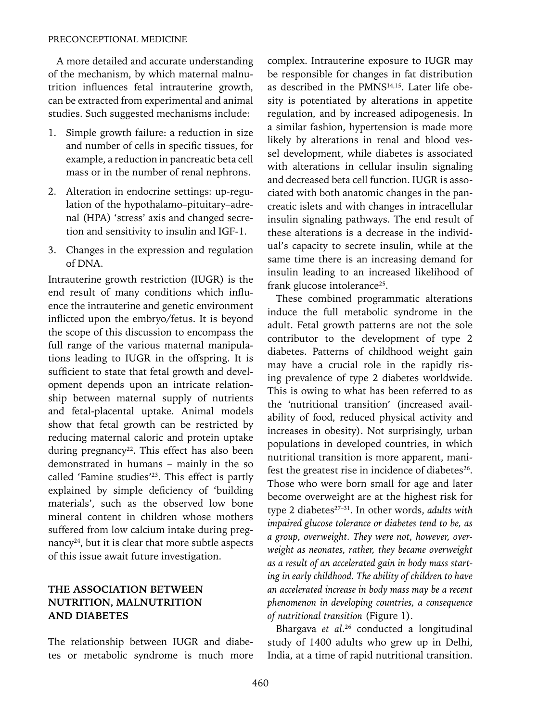A more detailed and accurate understanding of the mechanism, by which maternal malnutrition influences fetal intrauterine growth, can be extracted from experimental and animal studies. Such suggested mechanisms include:

- 1. Simple growth failure: a reduction in size and number of cells in specific tissues, for example, a reduction in pancreatic beta cell mass or in the number of renal nephrons.
- 2. Alteration in endocrine settings: up-regulation of the hypothalamo–pituitary–adrenal (HPA) 'stress' axis and changed secretion and sensitivity to insulin and IGF-1.
- 3. Changes in the expression and regulation of DNA.

Intrauterine growth restriction (IUGR) is the end result of many conditions which influence the intrauterine and genetic environment inflicted upon the embryo/fetus. It is beyond the scope of this discussion to encompass the full range of the various maternal manipulations leading to IUGR in the offspring. It is sufficient to state that fetal growth and development depends upon an intricate relationship between maternal supply of nutrients and fetal-placental uptake. Animal models show that fetal growth can be restricted by reducing maternal caloric and protein uptake during pregnancy<sup>22</sup>. This effect has also been demonstrated in humans – mainly in the so called 'Famine studies'23. This effect is partly explained by simple deficiency of 'building materials', such as the observed low bone mineral content in children whose mothers suffered from low calcium intake during pregnancy<sup>24</sup>, but it is clear that more subtle aspects of this issue await future investigation.

## **THE ASSOCIATION BETWEEN NUTRITION, MALNUTRITION AND DIABETES**

The relationship between IUGR and diabetes or metabolic syndrome is much more complex. Intrauterine exposure to IUGR may be responsible for changes in fat distribution as described in the PMNS<sup>14,15</sup>. Later life obesity is potentiated by alterations in appetite regulation, and by increased adipogenesis. In a similar fashion, hypertension is made more likely by alterations in renal and blood vessel development, while diabetes is associated with alterations in cellular insulin signaling and decreased beta cell function. IUGR is associated with both anatomic changes in the pancreatic islets and with changes in intracellular insulin signaling pathways. The end result of these alterations is a decrease in the individual's capacity to secrete insulin, while at the same time there is an increasing demand for insulin leading to an increased likelihood of frank glucose intolerance<sup>25</sup>.

These combined programmatic alterations induce the full metabolic syndrome in the adult. Fetal growth patterns are not the sole contributor to the development of type 2 diabetes. Patterns of childhood weight gain may have a crucial role in the rapidly rising prevalence of type 2 diabetes worldwide. This is owing to what has been referred to as the 'nutritional transition' (increased availability of food, reduced physical activity and increases in obesity). Not surprisingly, urban populations in developed countries, in which nutritional transition is more apparent, manifest the greatest rise in incidence of diabetes<sup>26</sup>. Those who were born small for age and later become overweight are at the highest risk for type 2 diabetes<sup>27-31</sup>. In other words, *adults with impaired glucose tolerance or diabetes tend to be, as a group, overweight. They were not, however, overweight as neonates, rather, they became overweight as a result of an accelerated gain in body mass starting in early childhood. The ability of children to have an accelerated increase in body mass may be a recent phenomenon in developing countries, a consequence of nutritional transition* (Figure 1).

Bhargava *et al*. 26 conducted a longitudinal study of 1400 adults who grew up in Delhi, India, at a time of rapid nutritional transition.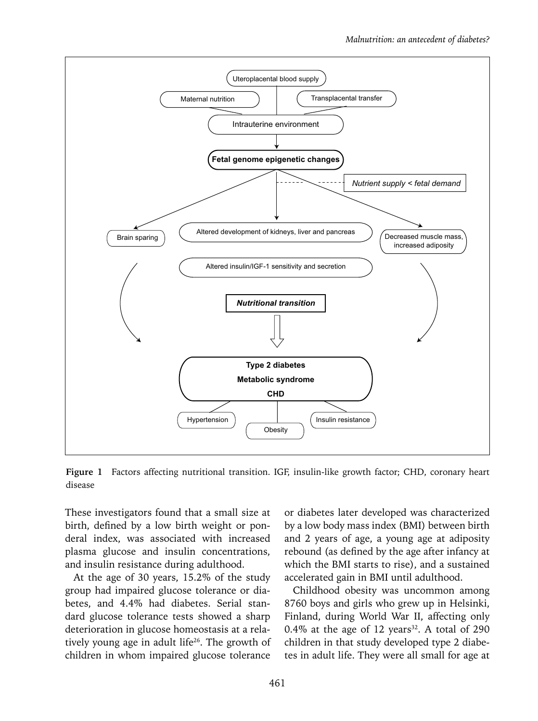

**Figure 1** Factors affecting nutritional transition. IGF, insulin-like growth factor; CHD, coronary heart disease

These investigators found that a small size at birth, defined by a low birth weight or ponderal index, was associated with increased plasma glucose and insulin concentrations, and insulin resistance during adulthood.

At the age of 30 years, 15.2% of the study group had impaired glucose tolerance or diabetes, and 4.4% had diabetes. Serial standard glucose tolerance tests showed a sharp deterioration in glucose homeostasis at a relatively young age in adult life<sup>26</sup>. The growth of children in whom impaired glucose tolerance

or diabetes later developed was characterized by a low body mass index (BMI) between birth and 2 years of age, a young age at adiposity rebound (as defined by the age after infancy at which the BMI starts to rise), and a sustained accelerated gain in BMI until adulthood.

Childhood obesity was uncommon among 8760 boys and girls who grew up in Helsinki, Finland, during World War II, affecting only 0.4% at the age of 12 years<sup>32</sup>. A total of 290 children in that study developed type 2 diabetes in adult life. They were all small for age at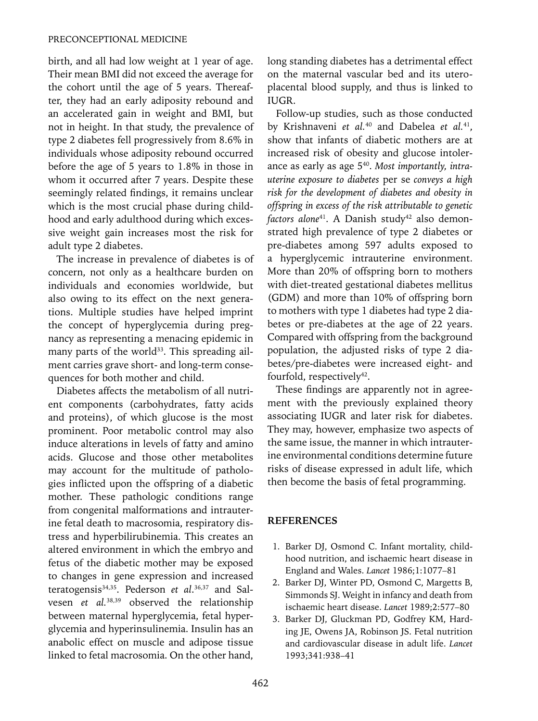birth, and all had low weight at 1 year of age. Their mean BMI did not exceed the average for the cohort until the age of 5 years. Thereafter, they had an early adiposity rebound and an accelerated gain in weight and BMI, but not in height. In that study, the prevalence of type 2 diabetes fell progressively from 8.6% in individuals whose adiposity rebound occurred before the age of 5 years to 1.8% in those in whom it occurred after 7 years. Despite these seemingly related findings, it remains unclear which is the most crucial phase during childhood and early adulthood during which excessive weight gain increases most the risk for adult type 2 diabetes.

The increase in prevalence of diabetes is of concern, not only as a healthcare burden on individuals and economies worldwide, but also owing to its effect on the next generations. Multiple studies have helped imprint the concept of hyperglycemia during pregnancy as representing a menacing epidemic in many parts of the world<sup>33</sup>. This spreading ailment carries grave short- and long-term consequences for both mother and child.

Diabetes affects the metabolism of all nutrient components (carbohydrates, fatty acids and proteins), of which glucose is the most prominent. Poor metabolic control may also induce alterations in levels of fatty and amino acids. Glucose and those other metabolites may account for the multitude of pathologies inflicted upon the offspring of a diabetic mother. These pathologic conditions range from congenital malformations and intrauterine fetal death to macrosomia, respiratory distress and hyperbilirubinemia. This creates an altered environment in which the embryo and fetus of the diabetic mother may be exposed to changes in gene expression and increased teratogensis34,35. Pederson *et al*. 36,37 and Salvesen *et al.*38,39 observed the relationship between maternal hyperglycemia, fetal hyperglycemia and hyperinsulinemia. Insulin has an anabolic effect on muscle and adipose tissue linked to fetal macrosomia. On the other hand,

long standing diabetes has a detrimental effect on the maternal vascular bed and its uteroplacental blood supply, and thus is linked to IUGR.

Follow-up studies, such as those conducted by Krishnaveni *et al.*40 and Dabelea *et al.*41, show that infants of diabetic mothers are at increased risk of obesity and glucose intolerance as early as age 540. *Most importantly, intrauterine exposure to diabetes* per se *conveys a high risk for the development of diabetes and obesity in offspring in excess of the risk attributable to genetic*  factors alone<sup>41</sup>. A Danish study<sup>42</sup> also demonstrated high prevalence of type 2 diabetes or pre-diabetes among 597 adults exposed to a hyperglycemic intrauterine environment. More than 20% of offspring born to mothers with diet-treated gestational diabetes mellitus (GDM) and more than 10% of offspring born to mothers with type 1 diabetes had type 2 diabetes or pre-diabetes at the age of 22 years. Compared with offspring from the background population, the adjusted risks of type 2 diabetes/pre-diabetes were increased eight- and fourfold, respectively<sup>42</sup>.

These findings are apparently not in agreement with the previously explained theory associating IUGR and later risk for diabetes. They may, however, emphasize two aspects of the same issue, the manner in which intrauterine environmental conditions determine future risks of disease expressed in adult life, which then become the basis of fetal programming.

### **References**

- 1. Barker DJ, Osmond C. Infant mortality, childhood nutrition, and ischaemic heart disease in England and Wales. *Lancet* 1986;1:1077–81
- 2. Barker DJ, Winter PD, Osmond C, Margetts B, Simmonds SJ. Weight in infancy and death from ischaemic heart disease. *Lancet* 1989;2:577–80
- 3. Barker DJ, Gluckman PD, Godfrey KM, Harding JE, Owens JA, Robinson JS. Fetal nutrition and cardiovascular disease in adult life. *Lancet* 1993;341:938–41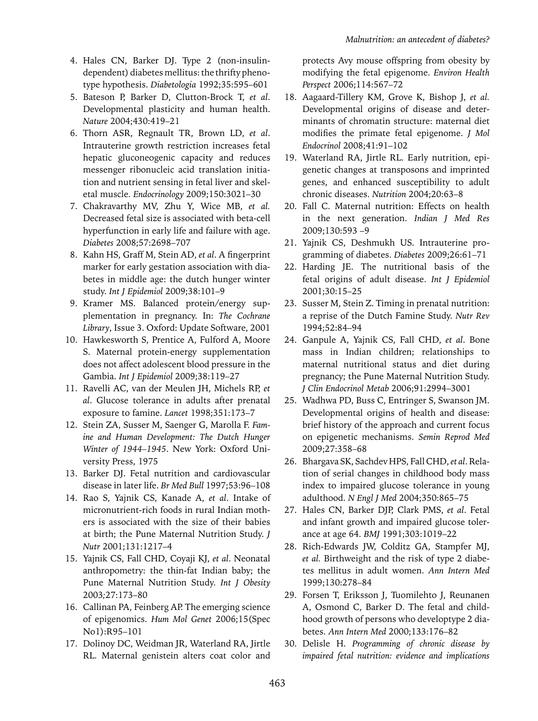- 4. Hales CN, Barker DJ. Type 2 (non-insulindependent) diabetes mellitus: the thrifty phenotype hypothesis. *Diabetologia* 1992;35:595–601
- 5. Bateson P, Barker D, Clutton-Brock T, *et al*. Developmental plasticity and human health. *Nature* 2004;430:419–21
- 6. Thorn ASR, Regnault TR, Brown LD, *et al*. Intrauterine growth restriction increases fetal hepatic gluconeogenic capacity and reduces messenger ribonucleic acid translation initiation and nutrient sensing in fetal liver and skeletal muscle. *Endocrinology* 2009;150:3021–30
- 7. Chakravarthy MV, Zhu Y, Wice MB, *et al.* Decreased fetal size is associated with beta-cell hyperfunction in early life and failure with age. *Diabetes* 2008;57:2698–707
- 8. Kahn HS, Graff M, Stein AD, *et al*. A fingerprint marker for early gestation association with diabetes in middle age: the dutch hunger winter study. *Int J Epidemiol* 2009;38:101–9
- 9. Kramer MS. Balanced protein/energy supplementation in pregnancy. In: *The Cochrane Library*, Issue 3. Oxford: Update Software, 2001
- 10. Hawkesworth S, Prentice A, Fulford A, Moore S. Maternal protein-energy supplementation does not affect adolescent blood pressure in the Gambia. *Int J Epidemiol* 2009;38:119–27
- 11. Ravelli AC, van der Meulen JH, Michels RP, *et al*. Glucose tolerance in adults after prenatal exposure to famine. *Lancet* 1998;351:173–7
- 12. Stein ZA, Susser M, Saenger G, Marolla F. *Famine and Human Development: The Dutch Hunger Winter of 1944–1945*. New York: Oxford University Press, 1975
- 13. Barker DJ. Fetal nutrition and cardiovascular disease in later life. *Br Med Bull* 1997;53:96–108
- 14. Rao S, Yajnik CS, Kanade A, *et al*. Intake of micronutrient-rich foods in rural Indian mothers is associated with the size of their babies at birth; the Pune Maternal Nutrition Study. *J Nutr* 2001;131:1217–4
- 15. Yajnik CS, Fall CHD, Coyaji KJ, *et al*. Neonatal anthropometry: the thin-fat Indian baby; the Pune Maternal Nutrition Study. *Int J Obesity*  2003*;*27:173–80
- 16. Callinan PA, Feinberg AP. The emerging science of epigenomics. *Hum Mol Genet* 2006;15(Spec No1):R95–101
- 17. Dolinoy DC, Weidman JR, Waterland RA, Jirtle RL. Maternal genistein alters coat color and

protects Avy mouse offspring from obesity by modifying the fetal epigenome. *Environ Health Perspect* 2006;114:567–72

- 18. Aagaard-Tillery KM, Grove K, Bishop J, *et al.*  Developmental origins of disease and determinants of chromatin structure: maternal diet modifies the primate fetal epigenome. *J Mol Endocrinol* 2008;41:91–102
- 19. Waterland RA, Jirtle RL. Early nutrition, epigenetic changes at transposons and imprinted genes, and enhanced susceptibility to adult chronic diseases. *Nutrition* 2004;20:63–8
- 20. Fall C. Maternal nutrition: Effects on health in the next generation. *Indian J Med Res* 2009;130:593 –9
- 21. Yajnik CS, Deshmukh US. Intrauterine programming of diabetes. *Diabetes* 2009;26:61–71
- 22. Harding JE. The nutritional basis of the fetal origins of adult disease. *Int J Epidemiol*  2001;30:15–25
- 23. Susser M, Stein Z. Timing in prenatal nutrition: a reprise of the Dutch Famine Study. *Nutr Rev*  1994;52:84–94
- 24. Ganpule A, Yajnik CS, Fall CHD, *et al*. Bone mass in Indian children; relationships to maternal nutritional status and diet during pregnancy; the Pune Maternal Nutrition Study. *J Clin Endocrinol Metab* 2006;91:2994–3001
- 25. Wadhwa PD, Buss C, Entringer S, Swanson JM. Developmental origins of health and disease: brief history of the approach and current focus on epigenetic mechanisms. *Semin Reprod Med* 2009;27:358–68
- 26. Bhargava SK, Sachdev HPS, Fall CHD, *et al*. Relation of serial changes in childhood body mass index to impaired glucose tolerance in young adulthood. *N Engl J Med* 2004;350:865–75
- 27. Hales CN, Barker DJP, Clark PMS, *et al*. Fetal and infant growth and impaired glucose tolerance at age 64. *BMJ* 1991;303:1019–22
- 28. Rich-Edwards JW, Colditz GA, Stampfer MJ, *et al.* Birthweight and the risk of type 2 diabetes mellitus in adult women. *Ann Intern Med* 1999;130:278–84
- 29. Forsen T, Eriksson J, Tuomilehto J, Reunanen A, Osmond C, Barker D. The fetal and childhood growth of persons who developtype 2 diabetes. *Ann Intern Med* 2000;133:176–82
- 30. Delisle H. *Programming of chronic disease by impaired fetal nutrition: evidence and implications*